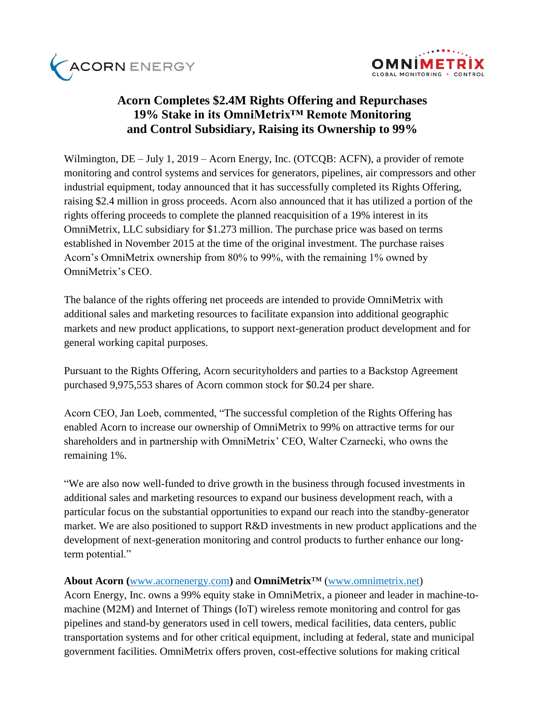



## **Acorn Completes \$2.4M Rights Offering and Repurchases 19% Stake in its OmniMetrix™ Remote Monitoring and Control Subsidiary, Raising its Ownership to 99%**

Wilmington, DE – July 1, 2019 – [Acorn Energy, Inc.](http://acornenergy.com/) (OTCQB: ACFN), a provider of remote monitoring and control systems and services for generators, pipelines, air compressors and other industrial equipment, today announced that it has successfully completed its Rights Offering, raising \$2.4 million in gross proceeds. Acorn also announced that it has utilized a portion of the rights offering proceeds to complete the planned reacquisition of a 19% interest in its OmniMetrix, LLC subsidiary for \$1.273 million. The purchase price was based on terms established in November 2015 at the time of the original investment. The purchase raises Acorn's OmniMetrix ownership from 80% to 99%, with the remaining 1% owned by OmniMetrix's CEO.

The balance of the rights offering net proceeds are intended to provide OmniMetrix with additional sales and marketing resources to facilitate expansion into additional geographic markets and new product applications, to support next-generation product development and for general working capital purposes.

Pursuant to the Rights Offering, Acorn securityholders and parties to a Backstop Agreement purchased 9,975,553 shares of Acorn common stock for \$0.24 per share.

Acorn CEO, Jan Loeb, commented, "The successful completion of the Rights Offering has enabled Acorn to increase our ownership of OmniMetrix to 99% on attractive terms for our shareholders and in partnership with OmniMetrix' CEO, Walter Czarnecki, who owns the remaining 1%.

"We are also now well-funded to drive growth in the business through focused investments in additional sales and marketing resources to expand our business development reach, with a particular focus on the substantial opportunities to expand our reach into the standby-generator market. We are also positioned to support R&D investments in new product applications and the development of next-generation monitoring and control products to further enhance our longterm potential."

## **About Acorn (**[www.acornenergy.com](http://www.acornenergy.com/)**)** and **OmniMetrix**™ [\(www.omnimetrix.net\)](http://www.omnimetrix.net/)

Acorn Energy, Inc. owns a 99% equity stake in OmniMetrix, a pioneer and leader in machine-tomachine (M2M) and Internet of Things (IoT) wireless remote monitoring and control for gas pipelines and stand-by generators used in cell towers, medical facilities, data centers, public transportation systems and for other critical equipment, including at federal, state and municipal government facilities. OmniMetrix offers proven, cost-effective solutions for making critical